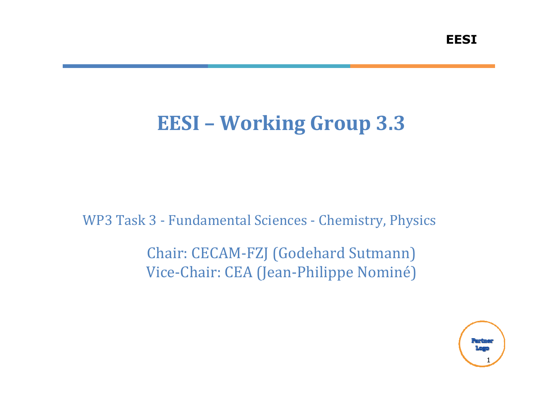# EESI – Working Group 3.3

WP3 Task 3 - Fundamental Sciences - Chemistry, Physics

Chair: CECAM-FZJ (Godehard Sutmann)Vice-Chair: CEA (Jean-Philippe Nominé)

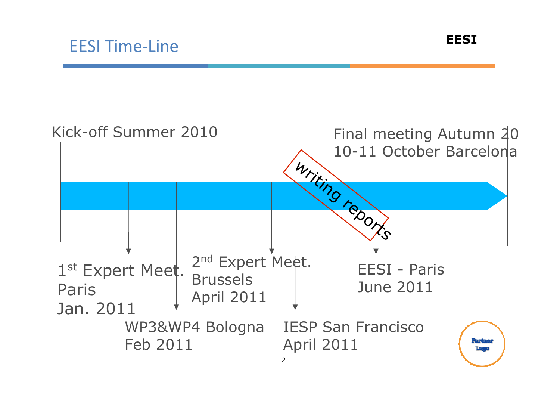

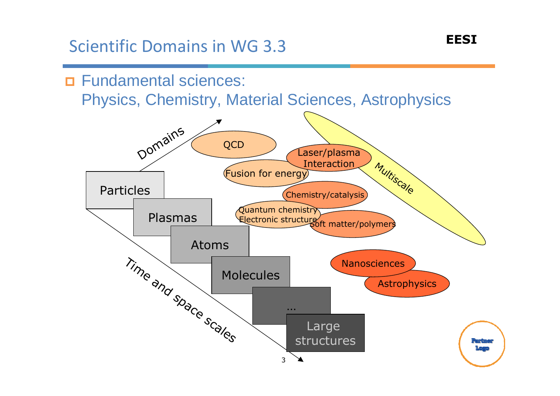### Scientific Domains in WG 3.3



3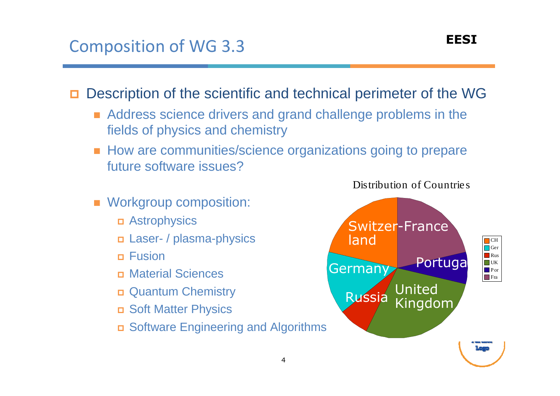### Composition of WG 3.3

П Description of the scientific and technical perimeter of the WG

- Address science drivers and grand challenge problems in the fields of physics and chemistry
- How are communities/science organizations going to prepare future software issues?

4

- **Norkgroup composition:** 
	- Astrophysics
	- Laser- / plasma-physics
	- Fusion
	- Material Sciences
	- Quantum Chemistry
	- Soft Matter Physics
	- Software Engineering and Algorithms



Distribution of Countrie <sup>s</sup>

EESI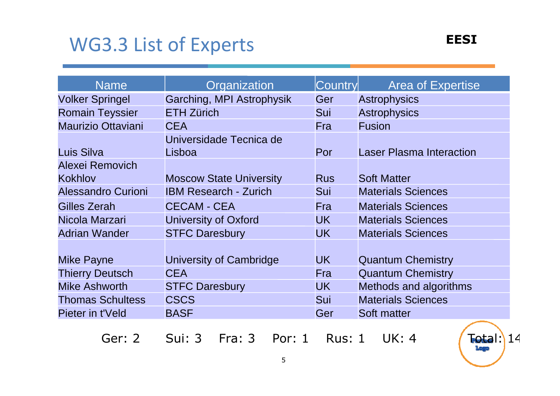## WG3.3 List of Experts

| <b>Name</b>               | Organization                   | Country    | <b>Area of Expertise</b>        |
|---------------------------|--------------------------------|------------|---------------------------------|
| <b>Volker Springel</b>    | Garching, MPI Astrophysik      | Ger        | <b>Astrophysics</b>             |
| <b>Romain Teyssier</b>    | <b>ETH Zürich</b>              | Sui        | <b>Astrophysics</b>             |
| <b>Maurizio Ottaviani</b> | <b>CEA</b>                     | Fra        | <b>Fusion</b>                   |
|                           | Universidade Tecnica de        |            |                                 |
| Luis Silva                | Lisboa                         | Por        | <b>Laser Plasma Interaction</b> |
| Alexei Removich           |                                |            |                                 |
| <b>Kokhlov</b>            | <b>Moscow State University</b> | <b>Rus</b> | <b>Soft Matter</b>              |
| Alessandro Curioni        | <b>IBM Research - Zurich</b>   | Sui        | <b>Materials Sciences</b>       |
| Gilles Zerah              | <b>CECAM - CEA</b>             | <b>Fra</b> | <b>Materials Sciences</b>       |
| Nicola Marzari            | <b>University of Oxford</b>    | <b>UK</b>  | <b>Materials Sciences</b>       |
| <b>Adrian Wander</b>      | <b>STFC Daresbury</b>          | <b>UK</b>  | <b>Materials Sciences</b>       |
|                           |                                |            |                                 |
| <b>Mike Payne</b>         | University of Cambridge        | <b>UK</b>  | <b>Quantum Chemistry</b>        |
| <b>Thierry Deutsch</b>    | <b>CEA</b>                     | Fra        | <b>Quantum Chemistry</b>        |
| <b>Mike Ashworth</b>      | <b>STFC Daresbury</b>          | <b>UK</b>  | Methods and algorithms          |
| <b>Thomas Schultess</b>   | <b>CSCS</b>                    | Sui        | <b>Materials Sciences</b>       |
| Pieter in t'Veld          | <b>BASF</b>                    | Ger        | Soft matter                     |

Ger: 2 Sui: 3 Fra: 3 Por: 1 Rus: 1 UK: 4 (Total: 14

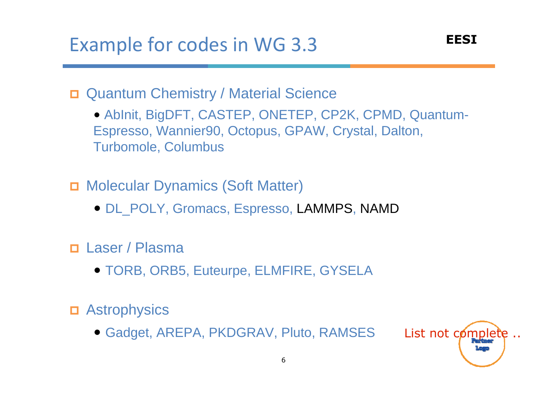Quantum Chemistry / Material Science

• AbInit, BigDFT, CASTEP, ONETEP, CP2K, CPMD, Quantum-Espresso, Wannier90, Octopus, GPAW, Crystal, Dalton,Turbomole, Columbus

Molecular Dynamics (Soft Matter)

• DL\_POLY, Gromacs, Espresso, LAMMPS, NAMD

п Laser / Plasma

• TORB, ORB5, Euteurpe, ELMFIRE, GYSELA

Astrophysics

• Gadget, AREPA, PKDGRAV, Pluto, RAMSES

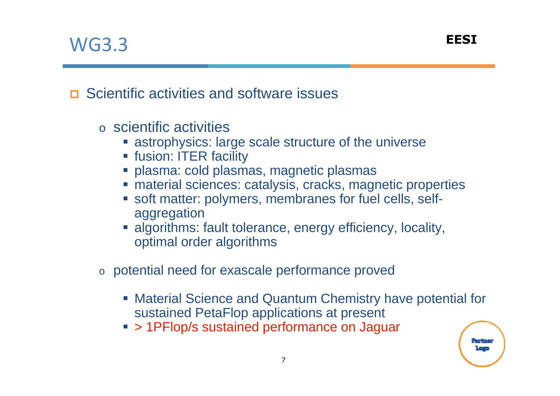### WG3.3

**□** Scientific activities and software issues

- oo scientific activities
	- **Example 13 astrophysics: large scale structure of the universe**
	- fusion: ITER facility
	- plasma: cold plasmas, magnetic plasmas
	- material sciences: catalysis, cracks, magnetic properties
	- **soft matter: polymers, membranes for fuel cells, self**aggregation
	- **algorithms: fault tolerance, energy efficiency, locality,** þ. optimal order algorithms
- $\,\circ\,$  potential need for exascale performance proved
	- Material Science and Quantum Chemistry have potential for sustained PetaFlop applications at present
	- > 1PFlop/s sustained performance on Jaguar

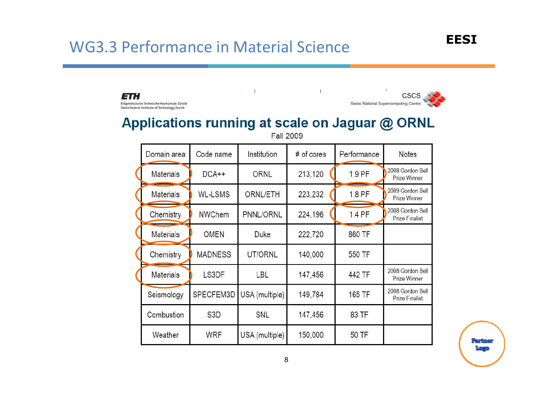#### WG3.3 Performance in Material Science



 $\mathbb{L}$  $\sim 1$ **CSCS** ETH Eidgenössische Technische Hochschule Zürich Swiss National Supercomputing Centre Swiss Federal Institute of Technology Zurich Applications running at scale on Jaguar @ ORNL **Fall 2009** Code name Performance Domain area Institution # of cores Notes 2008 Gordon Bell 1.9 PF  $DCA++$ ORNL 213.120 Materials Prize Winner 2009 Gordon Bell **Materials WL-LSMS** ORNL/ETH 223,232 1.8 PF Prize Winner 2008 Gordon Bell 1.4 PF NWChem PNNL/ORNL 224,196 Chemistry Prize Finalist **OMEN** 860 TF **Materials** 222.720 Duke Chemistry **MADNESS** UT/ORNL 140,000 550 TF 2008 Gordon Bell LS3DF Materials LBL 147,456 442 TF Prize Winner 2008 Gordon Bell SPECFEM3D USA (multiple) 149.784 165 TF Seismology Prize Finalist Combustion S<sub>3</sub>D SNL 147,456 83 TF Weather **WRF** USA (multiple) 150,000 50 TF

li<sup>p</sup>ant tingar <u> மதம</u>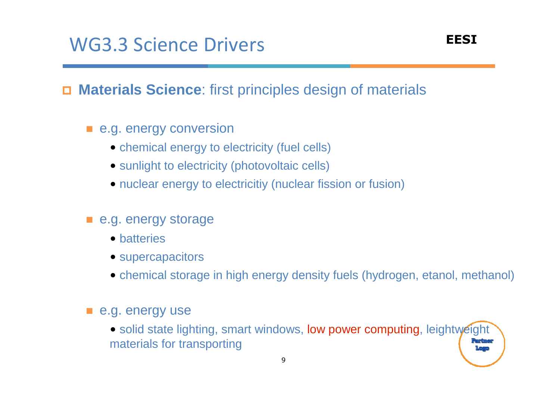O **Materials Science**: first principles design of materials

- **E** e.g. energy conversion
	- chemical energy to electricity (fuel cells)
	- sunlight to electricity (photovoltaic cells)
	- nuclear energy to electricitiy (nuclear fission or fusion)
- e.g. energy storage
	- batteries
	- supercapacitors
	- chemical storage in high energy density fuels (hydrogen, etanol, methanol)

#### $\blacksquare$  e.g. energy use

• solid state lighting, smart windows, low power computing, leightweight materials for transporting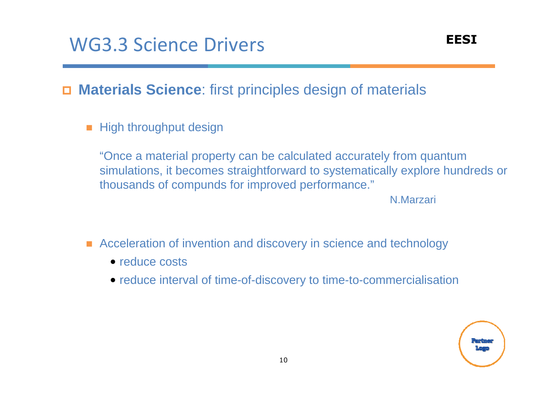$\Box$ **Materials Science**: first principles design of materials

■ High throughput design

"Once a material property can be calculated accurately from quantum simulations, it becomes straightforward to systematically explore hundreds or thousands of compunds for improved performance."

N.Marzari

- Acceleration of invention and discovery in science and technology
	- reduce costs
	- reduce interval of time-of-discovery to time-to-commercialisation

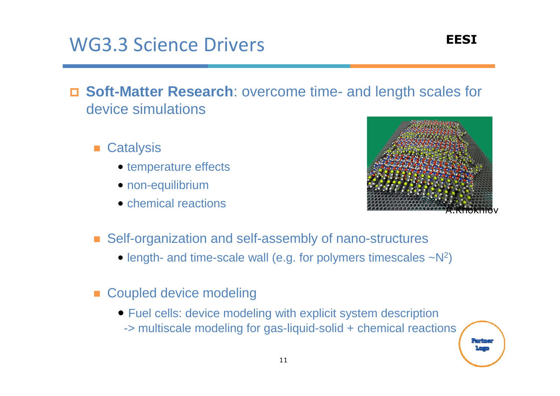### WG3.3 Science Drivers

- **Soft-Matter Research**: overcome time- and length scales for device simulations
	- **Catalysis** 
		- temperature effects
		- non-equilibrium
		- chemical reactions



- Self-organization and self-assembly of nano-structures
	- length- and time-scale wall (e.g. for polymers timescales  $-N^2$ )
- **Exampled device modeling** 
	- Fuel cells: device modeling with explicit system description -> multiscale modeling for gas-liquid-solid + chemical reactions

le anglunge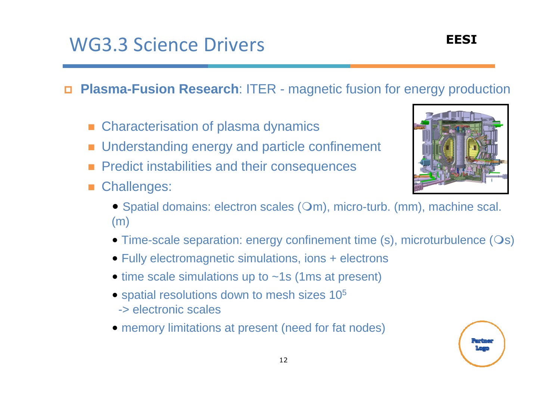## WG3.3 Science Drivers

- □ **Plasma-Fusion Research**: ITER - magnetic fusion for energy production
	- -Characterisation of plasma dynamics
	- $\mathbb{R}^3$ Understanding energy and particle confinement
	- Predict instabilities and their consequences
	- -Challenges:



- Spatial domains: electron scales  $(Om)$ , micro-turb.  $(mm)$ , machine scal. (m)
- Time-scale separation: energy confinement time (s), microturbulence (Os)
- Fully electromagnetic simulations, ions + electrons
- time scale simulations up to ~1s (1ms at present)
- spatial resolutions down to mesh sizes 10<sup>5</sup> -> electronic scales
- memory limitations at present (need for fat nodes)

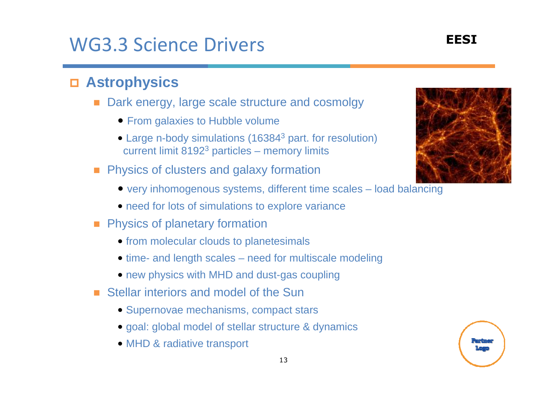#### WG3.3 Science DriversS
EESI

## **Astrophysics**

- Dark energy, large scale structure and cosmolgy
	- From galaxies to Hubble volume
	- Large n-body simulations (16384<sup>3</sup> part. for resolution) current limit 81923 particles – memory limits
- **Physics of clusters and galaxy formation** 
	- very inhomogenous systems, different time scales load balancing
	- need for lots of simulations to explore variance
- **Physics of planetary formation** 
	- from molecular clouds to planetesimals
	- time- and length scales need for multiscale modeling
	- new physics with MHD and dust-gas coupling
- Stellar interiors and model of the Sun
	- Supernovae mechanisms, compact stars
	- goal: global model of stellar structure & dynamics
	- MHD & radiative transport



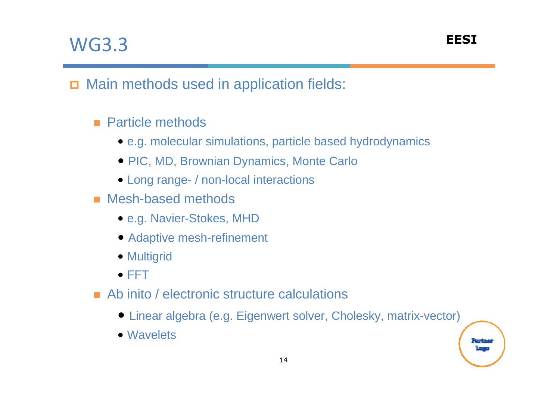## WG3.3

P<mark>ean t</mark>ungan

## Main methods used in application fields:

### ■ Particle methods

- e.g. molecular simulations, particle based hydrodynamics
- PIC, MD, Brownian Dynamics, Monte Carlo
- Long range- / non-local interactions
- Mesh-based methods
	- e.g. Navier-Stokes, MHD
	- Adaptive mesh-refinement
	- Multigrid
	- FFT
- Ab inito / electronic structure calculations
	- Linear algebra (e.g. Eigenwert solver, Cholesky, matrix-vector)
	- Wavelets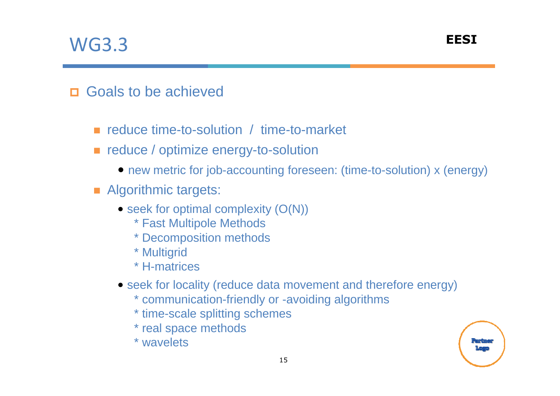## WG3.3

## □ Goals to be achieved

- reduce time-to-solution / time-to-market
- **EXTERGLICE** / optimize energy-to-solution
	- new metric for job-accounting foreseen: (time-to-solution) x (energy)
- **E** Algorithmic targets:
	- seek for optimal complexity (O(N))
		- \* Fast Multipole Methods
		- \* Decomposition methods
		- \* Multigrid
		- \* H-matrices
	- seek for locality (reduce data movement and therefore energy)
		- \* communication-friendly or -avoiding algorithms
		- \* time-scale splitting schemes
		- \* real space methods
		- \* wavelets

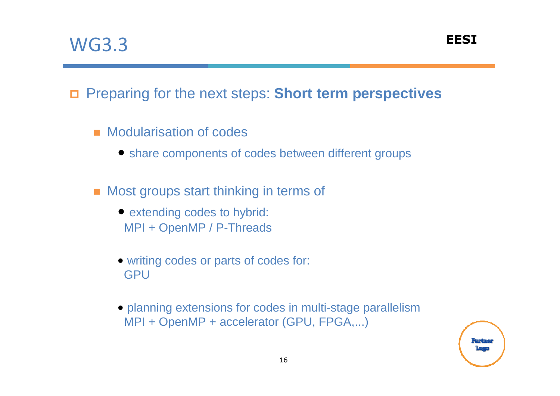## Preparing for the next steps: **Short term perspectives**

- **E** Modularisation of codes
	- share components of codes between different groups
- Most groups start thinking in terms of
	- extending codes to hybrid: MPI + OpenMP / P-Threads
	- writing codes or parts of codes for: **GPU**
	- planning extensions for codes in multi-stage parallelismMPI + OpenMP + accelerator (GPU, FPGA,...)

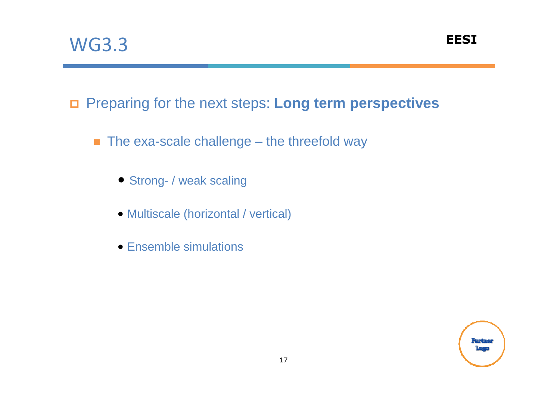Preparing for the next steps: **Long term perspectives**

- $\blacksquare$  The exa-scale challenge the threefold way
	- Strong- / weak scaling
	- Multiscale (horizontal / vertical)
	- Ensemble simulations

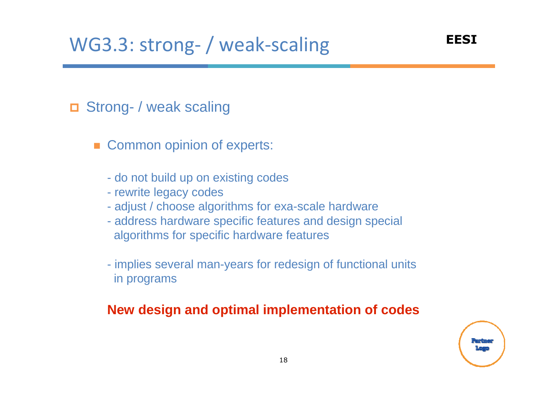## □ Strong- / weak scaling

- Common opinion of experts:
	- do not build up on existing codes
	- rewrite legacy codes
	- adjust / choose algorithms for exa-scale hardware
	- address hardware specific features and design special algorithms for specific hardware features
	- implies several man-years for redesign of functional units in programs

#### **New design and optimal implementation of codes**

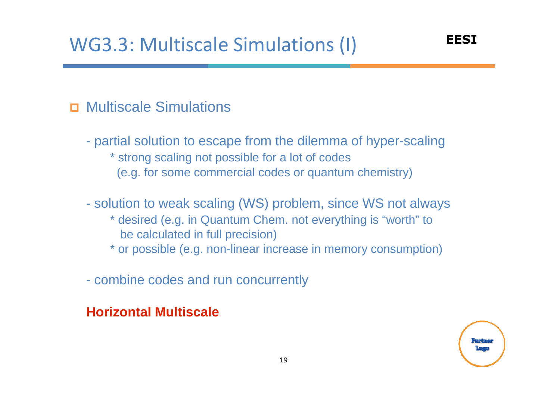## Multiscale Simulations

- $\mathcal{L}_{\mathcal{A}}$  partial solution to escape from the dilemma of hyper-scaling\* strong scaling not possible for a lot of codes (e.g. for some commercial codes or quantum chemistry)
- $\mathcal{L}_{\mathcal{A}}$  solution to weak scaling (WS) problem, since WS not always
	- \* desired (e.g. in Quantum Chem. not everything is "worth" to be calculated in full precision)
	- \* or possible (e.g. non-linear increase in memory consumption)
- combine codes and run concurrently

#### **Horizontal Multiscale**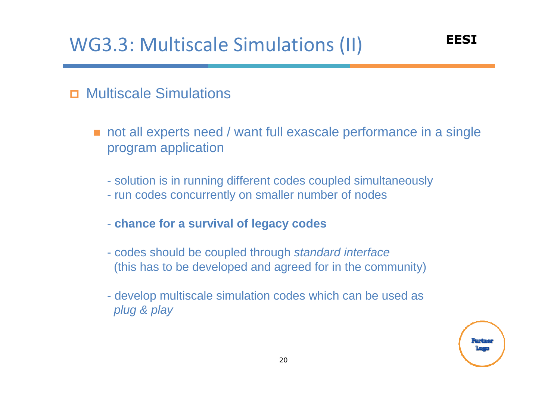## WG3.3: Multiscale Simulations (II) EESI

#### п Multiscale Simulations

- not all experts need / want full exascale performance in a single program application
	- solution is in running different codes coupled simultaneously
	- run codes concurrently on smaller number of nodes
	- **chance for a survival of legacy codes**
	- codes should be coupled through standard interface (this has to be developed and agreed for in the community)
	- develop multiscale simulation codes which can be used as plug & play

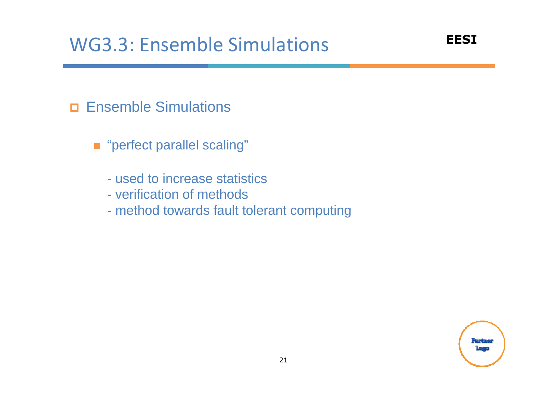## **Ensemble Simulations**

- "perfect parallel scaling"
	- used to increase statistics
	- verification of methods
	- mathod towards fault method towards fault tolerant computing